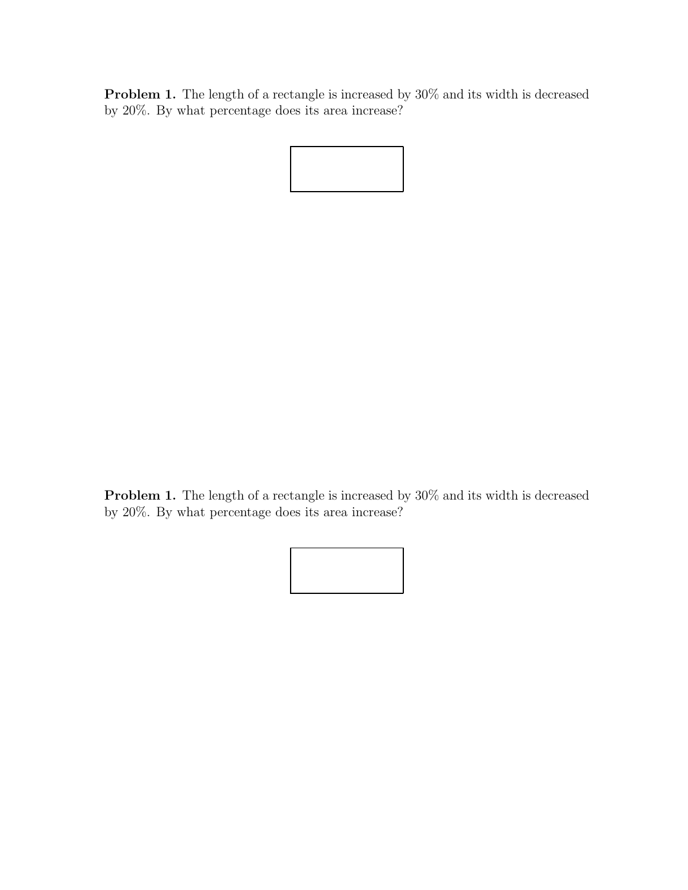Problem 1. The length of a rectangle is increased by 30% and its width is decreased by 20%. By what percentage does its area increase?

Problem 1. The length of a rectangle is increased by 30% and its width is decreased by 20%. By what percentage does its area increase?

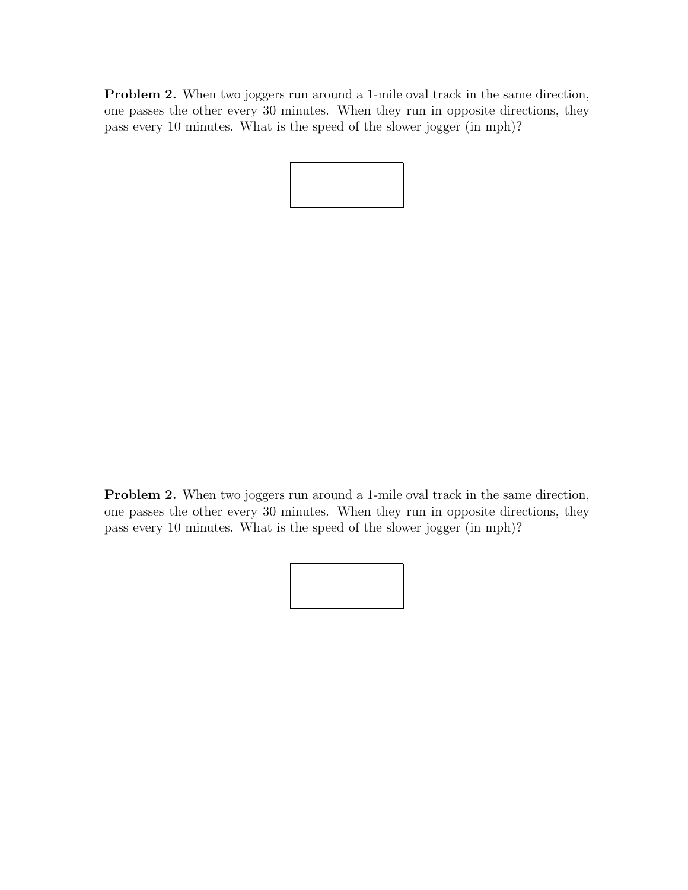Problem 2. When two joggers run around a 1-mile oval track in the same direction, one passes the other every 30 minutes. When they run in opposite directions, they pass every 10 minutes. What is the speed of the slower jogger (in mph)?

Problem 2. When two joggers run around a 1-mile oval track in the same direction, one passes the other every 30 minutes. When they run in opposite directions, they pass every 10 minutes. What is the speed of the slower jogger (in mph)?

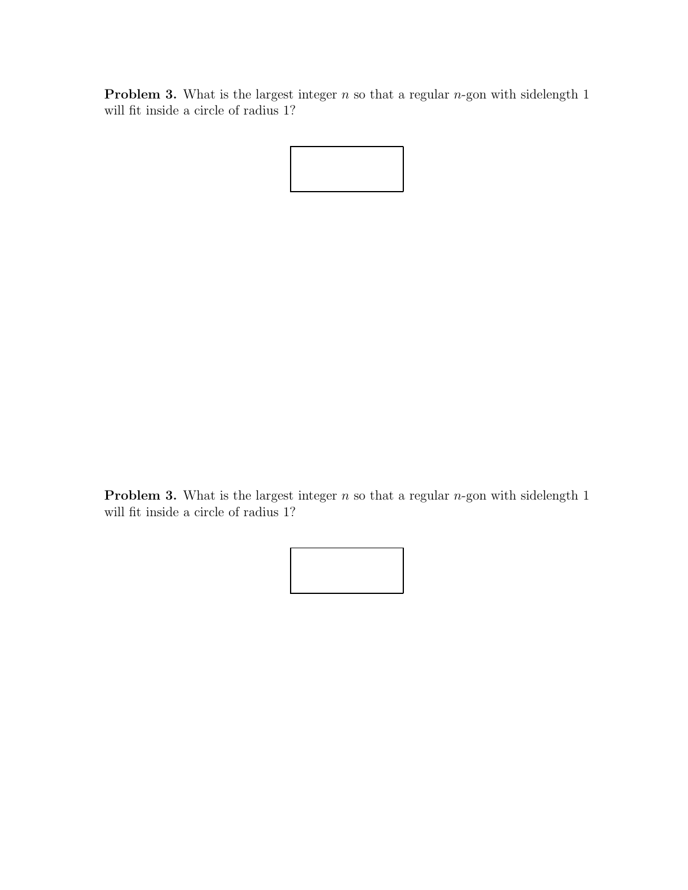**Problem 3.** What is the largest integer  $n$  so that a regular  $n$ -gon with sidelength 1 will fit inside a circle of radius 1?



**Problem 3.** What is the largest integer  $n$  so that a regular  $n$ -gon with sidelength 1 will fit inside a circle of radius 1?

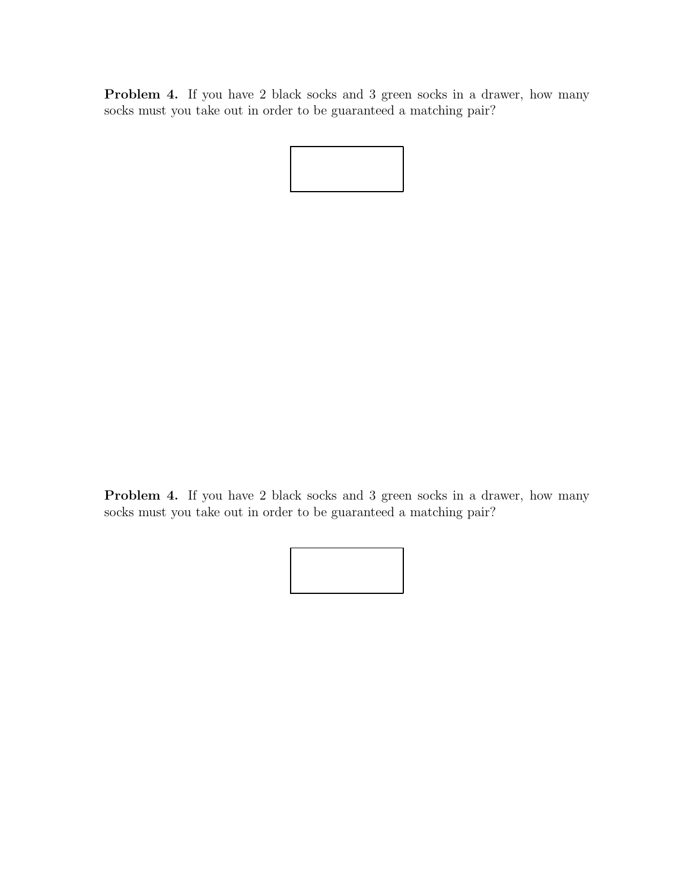Problem 4. If you have 2 black socks and 3 green socks in a drawer, how many socks must you take out in order to be guaranteed a matching pair?

Problem 4. If you have 2 black socks and 3 green socks in a drawer, how many socks must you take out in order to be guaranteed a matching pair?

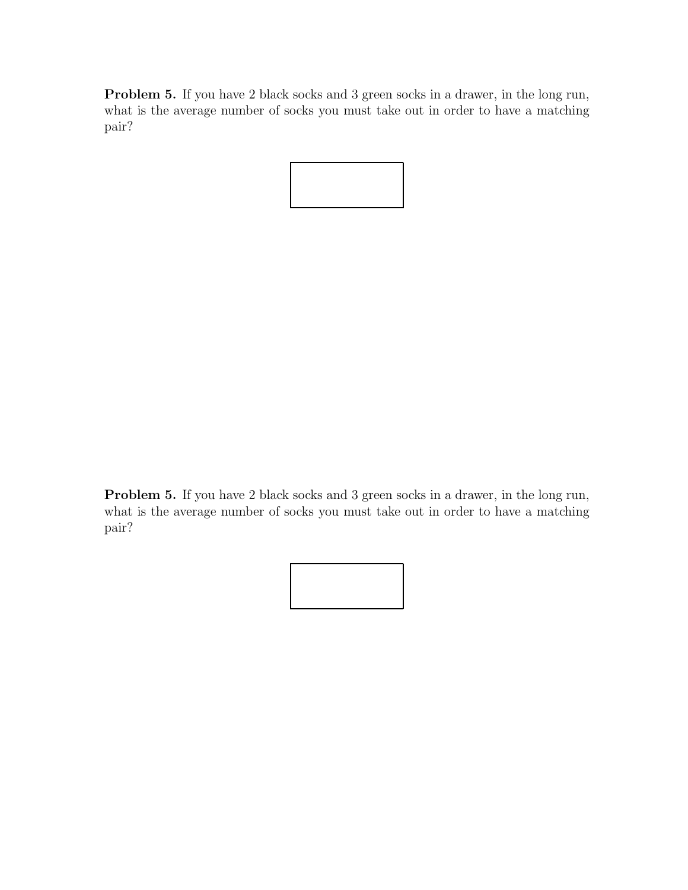Problem 5. If you have 2 black socks and 3 green socks in a drawer, in the long run, what is the average number of socks you must take out in order to have a matching pair?



Problem 5. If you have 2 black socks and 3 green socks in a drawer, in the long run, what is the average number of socks you must take out in order to have a matching pair?

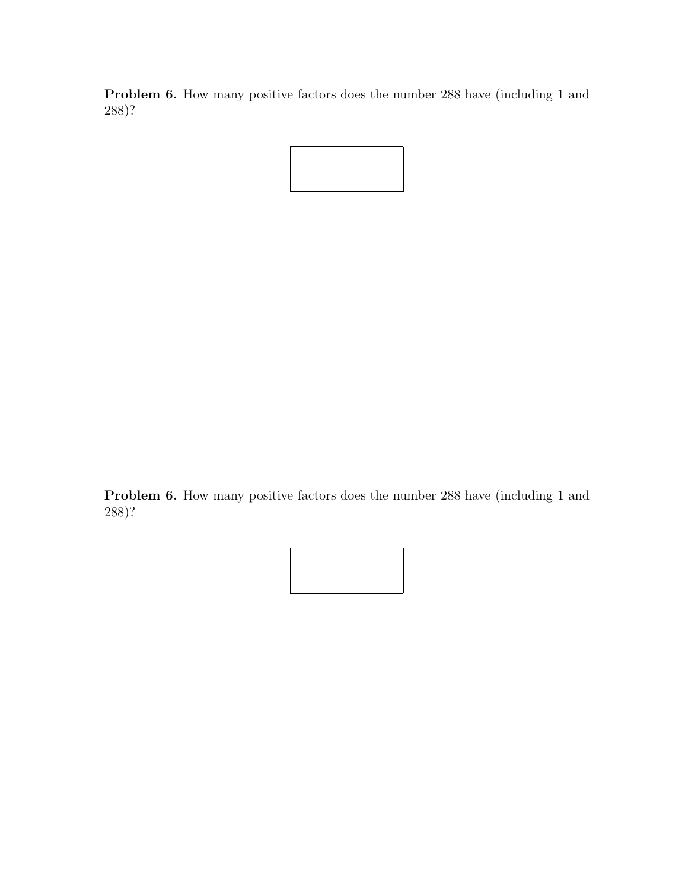Problem 6. How many positive factors does the number 288 have (including 1 and 288)?



Problem 6. How many positive factors does the number 288 have (including 1 and 288)?

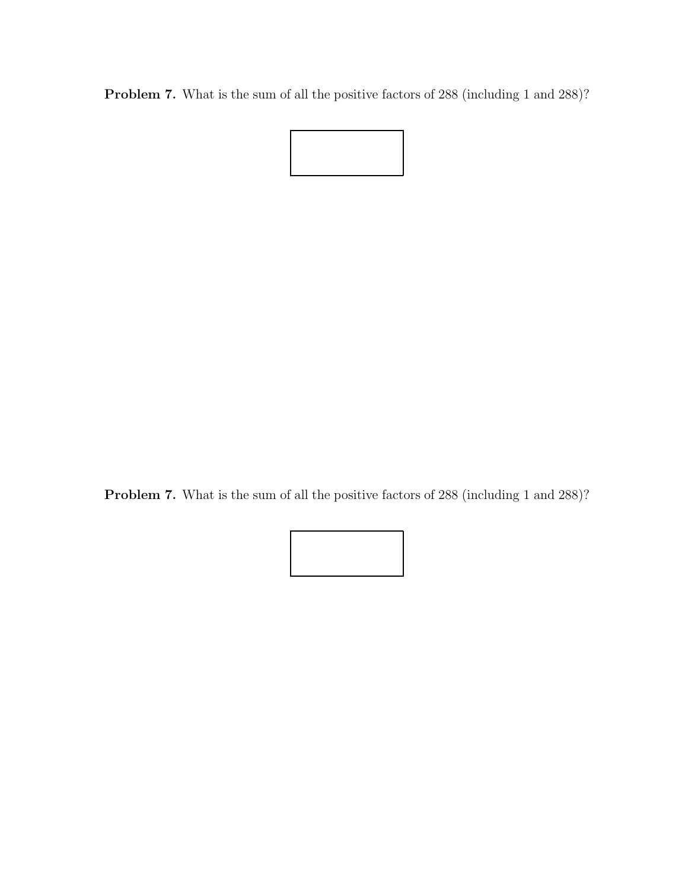Problem 7. What is the sum of all the positive factors of 288 (including 1 and 288)?



Problem 7. What is the sum of all the positive factors of 288 (including 1 and 288)?

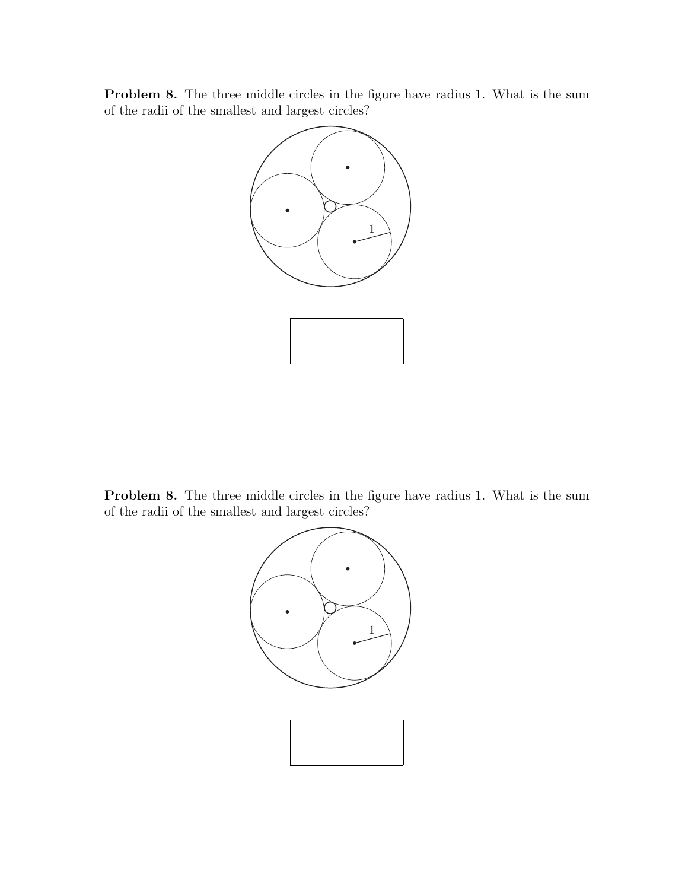Problem 8. The three middle circles in the figure have radius 1. What is the sum of the radii of the smallest and largest circles?



Problem 8. The three middle circles in the figure have radius 1. What is the sum of the radii of the smallest and largest circles?

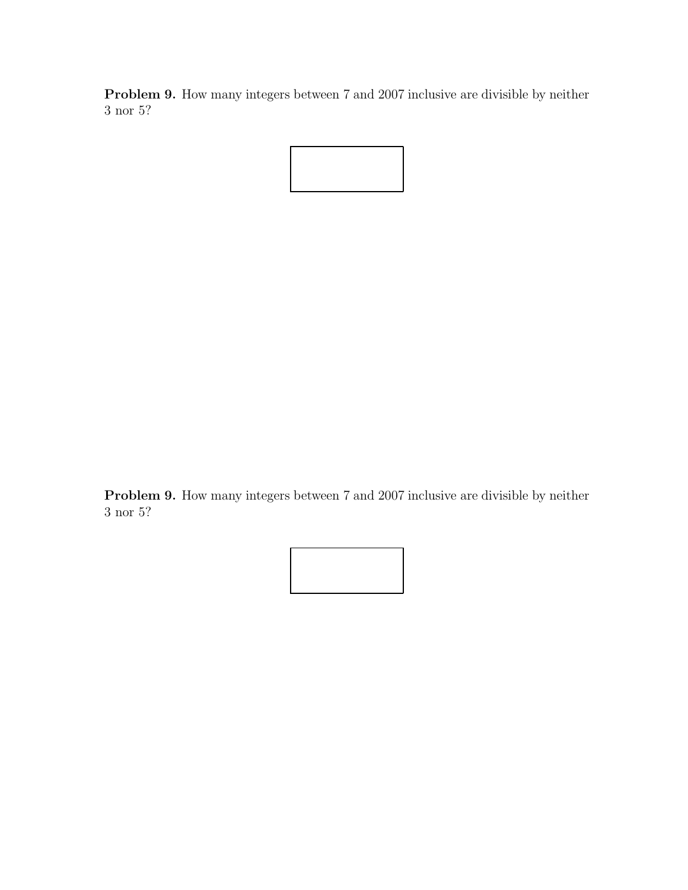Problem 9. How many integers between 7 and 2007 inclusive are divisible by neither 3 nor 5?



Problem 9. How many integers between 7 and 2007 inclusive are divisible by neither 3 nor 5?